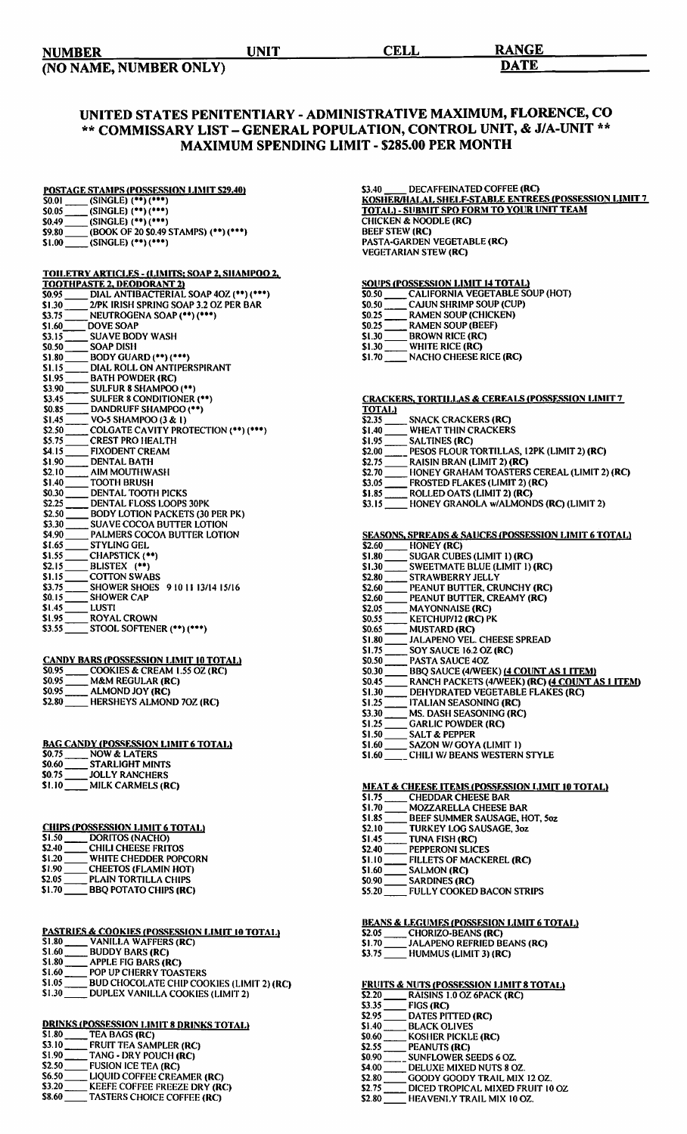| <b>NUMBER</b> | UNIT | <b>CELL</b> | <b>RANGE</b> |
|---------------|------|-------------|--------------|
|               |      |             |              |

(NO NAME, NUMBER ONLY) DATE

## UNITED STATES PENITENTIARY - ADMINISTRATIVE MAXIMUM, FLORENCE, CO \*\* COMMISSARY LIST- GENERAL POPULATION, CONTROL UNIT, & J/A-UNIT \*\* MAXIMUM SPENDING LIMIT - \$285.00 PER MONTH

# <u>POSTAGE STAMPS (POSSESSION LIMIT \$29.40)</u><br>\$0.01 \_\_\_\_\_ (SINGLE) (\*\*) (\*\*\*)

- $\overline{\text{S0.05}}$  (SINGLE) (\*\*) (\*\*\*)
- $$0.49$  (SINGLE) (\*\*) (\*\*\*)
- \$9.80 =(BOOK OF 20 S0.49 STAMPS)( .. ) c•••) Sl.OO \_\_ (SINGLE) ( .. ) c•••)
- 

### TOILETRY ARTICLES - (LIMITS: SOAP 2. SHAMPOO 2,

|              | TOOTHPASTE 2, DEODORANT 2)             |
|--------------|----------------------------------------|
| SO.95        | DIAL ANTIBACTERIAL SOAP 4OZ (**) (***) |
| \$1.30       | 2/PK IRISH SPRING SOAP 3.2 OZ PER BAR  |
| \$3.75       | NEUTROGENA SOAP (**) (***)             |
| S1.60        | DOVE SOAP                              |
| S3.15        | <b>SUAVE BODY WASH</b>                 |
| \$0.50       | <b>SOAP DISH</b>                       |
| \$1.80       | BODY GUARD (**) (***)                  |
| \$1.15       | DIAL ROLL ON ANTIPERSPIRANT            |
| \$1.95       | <b>BATH POWDER (RC)</b>                |
| \$3.90       | <b>SULFUR 8 SHAMPOO (**)</b>           |
| \$3.45       | SULFER 8 CONDITIONER (**)              |
| \$0.85       | DANDRUFF SHAMPOO (**)                  |
| \$1.45       | VO-5 SHAMPOO (3 & 1)                   |
| \$2.50       | COLGATE CAVITY PROTECTION (**) (***)   |
| \$5.75       | <b>CREST PRO HEALTH</b>                |
| <b>S4.15</b> | <b>FIXODENT CREAM</b>                  |
| \$1.90       | <b>DENTAL BATH</b>                     |
| \$2.10       | AIM MOUTHWASH                          |
| \$1.40       | <b>TOOTH BRUSH</b>                     |
| \$0.30       | <b>DENTAL TOOTH PICKS</b>              |
| \$2.25       | <b>DENTAL FLOSS LOOPS 30PK</b>         |
| \$2.50       | <b>BODY LOTION PACKETS (30 PER PK)</b> |
| \$3.30       | <b>SUAVE COCOA BUTTER LOTION</b>       |
| \$4.90       | <b>PALMERS COCOA BUTTER LOTION</b>     |
| \$1.65       | <b>STYLING GEL</b>                     |
| \$1.55       | CHAPSTICK (**)                         |
| \$2.15       | BLISTEX (**)                           |
| \$1.15       | <b>COTTON SWABS</b>                    |
| \$3.75       | SHOWER SHOES 9 10 11 13/14 15/16       |
| \$0.15       | <b>SHOWER CAP</b>                      |
| \$1.45       | LUSTI                                  |
| \$1.95       | <b>ROYAL CROWN</b>                     |
| \$3.55       | STOOL SOFTENER (**) (***)              |

|       | <b>CANDY BARS (POSSESSION LIMIT 10 TOTAL)</b> |
|-------|-----------------------------------------------|
| SO.95 | COOKIES & CREAM 1.55 OZ (RC)                  |
| SO.95 | <b>M&amp;M REGULAR (RC)</b>                   |
| S0.95 | ALMOND JOY (RC)                               |
|       |                                               |

\$0.95 \_\_\_\_\_\_ ALMOND JOY (RC)<br>\$2.80 \_\_\_\_\_ HERSHEYS ALMOND 7OZ (RC)

|        | <b>BAG CANDY (POSSESSION LIMIT 6 TOTAL)</b> |
|--------|---------------------------------------------|
| \$0.75 | <b>NOW &amp; LATERS</b>                     |
| \$0.60 | <b>STARLIGHT MINTS</b>                      |
| SO 75  | <b>JOLLY RANCHERS</b>                       |
| \$1.10 | MILK CARMELS (RC)                           |

| <b>CHIPS (POSSESSION LIMIT 6 TOTAL)</b> |                             |
|-----------------------------------------|-----------------------------|
| \$1.50                                  | DORITOS (NACHO)             |
| \$2.40                                  | <b>CHILI CHEESE FRITOS</b>  |
| <b>SI 20</b>                            | WHITE CHEDDER POPCORN       |
| \$1.90                                  | <b>CHEETOS (FLAMIN HOT)</b> |
| S2 OS.                                  | PLAIN TORTH LA CHIPS        |

| \$2.05       | <b>PLAIN TORTILLA CHIPS</b>  |
|--------------|------------------------------|
| <b>S1.70</b> | <b>BBQ POTATO CHIPS (RC)</b> |
|              |                              |

| PASTRIES & COOKIES (POSSESSION LIMIT 10 TOTAL)      |
|-----------------------------------------------------|
| \$1.80<br><b>VANILLA WAFFERS (RC)</b>               |
| \$1.60<br><b>BUDDY BARS (RC)</b>                    |
| \$1.80<br><b>APPLE FIG BARS (RC)</b>                |
| S1.60<br>POP UP CHERRY TOASTERS                     |
| \$1.05<br>BUD CHOCOLATE CHIP COOKIES (LIMIT 2) (RC) |
| \$1.30<br>DUPLEX VANILLA COOKIES (LIMIT 2)          |

|        | <b>DRINKS (POSSESSION LIMIT 8 DRINKS TOTAL)</b> |
|--------|-------------------------------------------------|
| \$1.80 | TEA BAGS (RC)                                   |
| \$3.10 | FRUIT TEA SAMPLER (RC)                          |
| \$1.90 | TANG - DRY POUCH (RC)                           |
| \$2.50 | <b>FUSION ICE TEA (RC)</b>                      |
| \$6.50 | LIQUID COFFEE CREAMER (RC)                      |
| \$3.20 | KEEFE COFFEE FREEZE DRY (RC)                    |
| \$8.60 | <b>TASTERS CHOICE COFFEE (RC)</b>               |

#### \$3.40 DECAFFEINATED COFFEE (RC) <u>KOSHER/HALAL SHELF-STABLE ENTREES (POSSESSION LIMIT 7</u> <u>TOTAL) - SUBMIT SPO FORM TO YOUR UNIT TEAM</u> CHICKEN & NOODLE (RC) BEEF STEW (RC) PASTA-GARDEN VEGETABLE (RC) **VEGETARIAN STEW (RC)**

## <u>SOUPS (POSSESSION LIMIT 14 TOTAL)</u>

- SO.SO CALIFORNIA VEGETABLE SOUP(HOT) *SO.SO* CAJUN SHRIMP SOUP (CUP) S0.2S --RAMEN SOUP (CHICKEN)
- 
- SO.2S RAMEN SOUP (CHICKEN)<br>
SO.2S RAMEN SOUP (BEEF)<br>
SI.30 BROWN RICE (RC)
- $$1.30$  BROWN RICE (RC)<br> $$1.30$  WHITE RICE (RC)
- \$1.30 WHITE RICE (RC)<br>\$1.70 NACHO CHEESE I
- NACHO CHEESE RICE (RC)

# CRACKERS, TORTILLAS & CEREALS (POSSESSION LIMIT 7

- TOTAL)<br>\$2.35
- **\$2.35** SNACK CRACKERS (RC)<br>\$1.40 WHEAT THIN CRACKERS 101AL)<br>\$2.35 \_\_\_\_\_\_ SNACK CRACKERS (RC)<br>\$1.40 \_\_\_\_\_\_\_ SALTINES (RC) \$2.35 \_\_\_\_\_ SNACK CRACKI<br>\$1.40 \_\_\_\_ WHEAT THIN C<br>\$1.95 \_\_\_\_\_ SALTINES (RC)<br>\$2.00 \_\_\_\_\_ BESOS ELOUP T
- 
- \$2.00 --PESOS FLOUR TORTILLAS, 12PK (LIMIT 2) (RC)
- \$2. *75* --RAISIN BRAN (LIMIT 2) (RC) \$2. 70-- HONEY GRAHAM TOASTERS CEREAL (LIMIT 2) (RC)
- *\$3.0S* --FROSTED FLAKES (LIMIT 2) (RC)
- 
- 
- \$1.85 --ROLLED OATS (LIMIT 2) (RC) \$3. IS= HONEY GRANOLA w/ALMONDS (RC) (LIMIT 2)

# $S$  Seasons, Space  $S$  and  $S$   $\overline{S}$   $\overline{S}$   $\overline{S}$   $\overline{S}$   $\overline{S}$   $\overline{S}$   $\overline{S}$   $\overline{S}$   $\overline{S}$   $\overline{S}$   $\overline{S}$   $\overline{S}$   $\overline{S}$   $\overline{S}$   $\overline{S}$   $\overline{S}$   $\overline{S}$   $\overline{S}$   $\overline{S}$   $\overline{S}$   $\overline{S}$

|              | SEASONS, SPREADS & SAUCES (POSSESSION LIMIT 6 TOTAL) |
|--------------|------------------------------------------------------|
| \$2.60       | HONEY (RC)                                           |
| \$1.80       | SUGAR CUBES (LIMIT 1) (RC)                           |
| \$1.30       | <b>SWEETMATE BLUE (LIMIT 1) (RC)</b>                 |
| \$2.80       | <b>STRAWBERRY JELLY</b>                              |
| \$2.60       | PEANUT BUTTER, CRUNCHY (RC)                          |
| \$2.60       | PEANUT BUTTER, CREAMY (RC)                           |
| \$2.05       | <b>MAYONNAISE (RC)</b>                               |
| S0.55        | KETCHUP/12 (RC) PK                                   |
| SO.65        | <b>MUSTARD (RC)</b>                                  |
| SI 80        | <b>JALAPENO VEL. CHEESE SPREAD</b>                   |
| \$1.75       | SOY SAUCE 16.2 OZ (RC)                               |
| \$0.50       | <b>PASTA SAUCE 40Z</b>                               |
| <b>SO.30</b> | <b>BBO SAUCE (4/WEEK) (4 COUNT AS 1 ITEM)</b>        |
| S0.45        | RANCH PACKETS (4/WEEK) (RC) (4 COUNT AS 1 ITEM)      |
| \$1.30       | DEHYDRATED VEGETABLE FLAKES (RC)                     |
| SI.25        | ITALIAN SEASONING (RC)                               |
| \$3.30       | <b>MS. DASH SEASONING (RC)</b>                       |
| SI.25        | <b>GARLIC POWDER (RC)</b>                            |
| \$1.50       | <b>SALT &amp; PEPPER</b>                             |
| \$1.60       | SAZON W/GOYA (LIMIT 1)                               |
| \$1.60       | CHILI W/ BEANS WESTERN STYLE                         |
|              |                                                      |
|              | MEAT & CHEESE ITEMS (POSSESSION LIMIT 10 TOTAL)      |
| SI.75.       | <b>CHEDDAR CHEESE BAR</b>                            |
| SI 70        | MOZZARELLA CHEESE RAR                                |

- SI. 75 \_\_\_\_\_\_ CHEUDAR CHEESE BAR<br>SI. 70 \_\_\_\_\_ MOZZARELLA CHEESE BAR<br>SI.8S \_\_\_\_\_\_ BEEF SUMMER SAUSAGE, HOT, Soz
- 
- \$2.10 TURKEY LOG SAUSAGE, 3oz<br>\$1.45 TUNA FISH (RC)
- S1.45 TUNA FISH (RC)<br>S2.40 PEPPERONI SLIC<br>S1.10 FILLETS OF MAC \$2.40 PEPPERONI SLICES
- SI.10 FILLETS OF MACKEREL (RC)
- **S1.60** SALMON (RC)<br> **S0.90** SARDINES (RC)
- **SO.90 SARDINES (RC)**<br>S5.20 FULLY COOKEE
	- FULLY COOKED BACON STRIPS

# BEANS & LEGUMES (POSSESION LIMIT 6 TOTAL.)<br>\$2.05 \_\_\_\_\_\_ CHORIZO-BEANS (RC)<br>\$1.70 \_\_\_\_\_\_ JALAPENO REFRIED BEANS (RC)

- \$2.05 \_\_\_\_\_\_ CHORIZO-BEANS (RC)<br>\$1.70 \_\_\_\_\_ JALAPENO REFRIED BEANS (RC)
- $S3.75$  HUMMUS (LIMIT 3) (RC)
- 

# <u>FRUITS & NUTS (POSSESSION LIMIT 8 TOTAL.)</u><br>\$2.20 \_\_\_\_\_\_ RAISINS 1.0 OZ 6PACK (RC)

| \$2.20 | RAISINS 1.0 OZ 6PACK (R |
|--------|-------------------------|
| \$3.35 | FIGS (RC)               |
| \$2.95 | DATES PITTED (RC)       |
| \$1.40 | <b>BLACK OLIVES</b>     |
| \$0.60 | KOSHER PICKLE (RC)      |
| \$2.55 | PEANUTS (RC)            |
| ደብ ዐለ  | SHINELOWED SEEDS 6 07   |

- \$0.90 \_\_\_\_\_\_ SUNFLOWER SEEDS 6 OZ.
- \$4.00 DELUXE MIXED NUTS 8 OZ.
- \$2.80 GOODY GOODY TRAIL MIX 12 OZ.
- \$2.75 DICED TROPICAL MIXED FRUIT 10 OZ
- \$2.80 HEAVENLY TRAIL MIX 10 OZ.